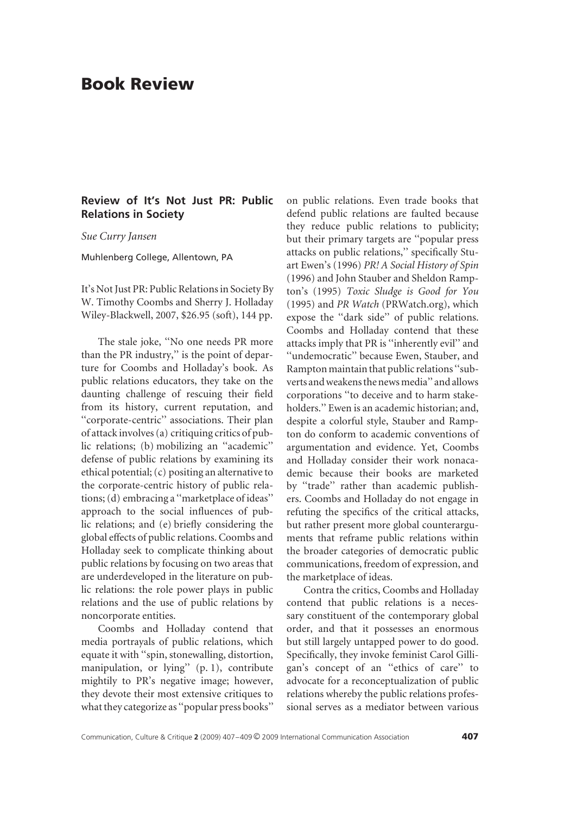## **Book Review**

## **Review of It's Not Just PR: Public Relations in Society**

*Sue Curry Jansen*

Muhlenberg College, Allentown, PA

It's Not Just PR: Public Relations in Society By W. Timothy Coombs and Sherry J. Holladay Wiley-Blackwell, 2007, \$26*.*95 (soft), 144 pp.

The stale joke, ''No one needs PR more than the PR industry,'' is the point of departure for Coombs and Holladay's book. As public relations educators, they take on the daunting challenge of rescuing their field from its history, current reputation, and ''corporate-centric'' associations. Their plan of attack involves (a) critiquing critics of public relations; (b) mobilizing an ''academic'' defense of public relations by examining its ethical potential; (c) positing an alternative to the corporate-centric history of public relations; (d) embracing a ''marketplace of ideas'' approach to the social influences of public relations; and (e) briefly considering the global effects of public relations. Coombs and Holladay seek to complicate thinking about public relations by focusing on two areas that are underdeveloped in the literature on public relations: the role power plays in public relations and the use of public relations by noncorporate entities.

Coombs and Holladay contend that media portrayals of public relations, which equate it with ''spin, stonewalling, distortion, manipulation, or lying'' (p. 1), contribute mightily to PR's negative image; however, they devote their most extensive critiques to what they categorize as ''popular press books''

on public relations. Even trade books that defend public relations are faulted because they reduce public relations to publicity; but their primary targets are ''popular press attacks on public relations,'' specifically Stuart Ewen's (1996) *PR! A Social History of Spin* (1996) and John Stauber and Sheldon Rampton's (1995) *Toxic Sludge is Good for You* (1995) and *PR Watch* (PRWatch.org), which expose the ''dark side'' of public relations. Coombs and Holladay contend that these attacks imply that PR is ''inherently evil'' and ''undemocratic'' because Ewen, Stauber, and Rampton maintain that public relations ''subverts and weakens the news media'' and allows corporations ''to deceive and to harm stakeholders.'' Ewen is an academic historian; and, despite a colorful style, Stauber and Rampton do conform to academic conventions of argumentation and evidence. Yet, Coombs and Holladay consider their work nonacademic because their books are marketed by ''trade'' rather than academic publishers. Coombs and Holladay do not engage in refuting the specifics of the critical attacks, but rather present more global counterarguments that reframe public relations within the broader categories of democratic public communications, freedom of expression, and the marketplace of ideas.

Contra the critics, Coombs and Holladay contend that public relations is a necessary constituent of the contemporary global order, and that it possesses an enormous but still largely untapped power to do good. Specifically, they invoke feminist Carol Gilligan's concept of an ''ethics of care'' to advocate for a reconceptualization of public relations whereby the public relations professional serves as a mediator between various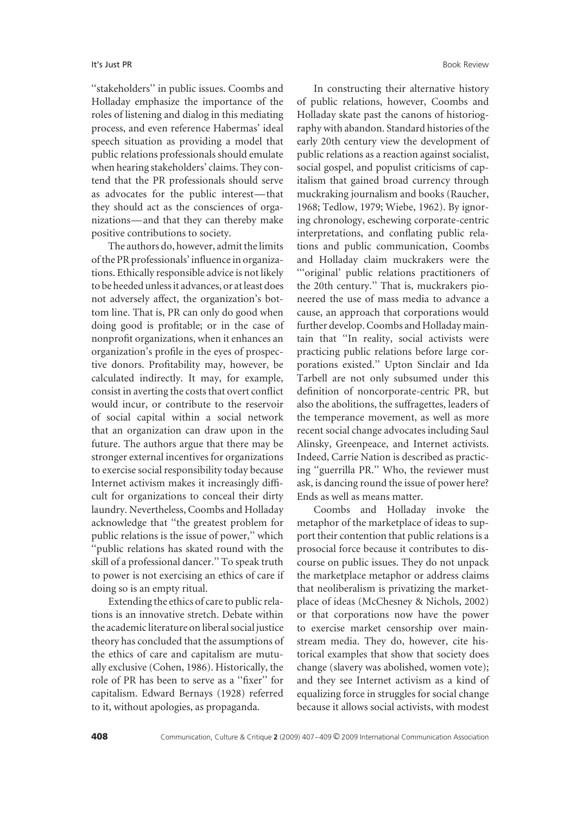''stakeholders'' in public issues. Coombs and Holladay emphasize the importance of the roles of listening and dialog in this mediating process, and even reference Habermas' ideal speech situation as providing a model that public relations professionals should emulate when hearing stakeholders' claims. They contend that the PR professionals should serve as advocates for the public interest—that they should act as the consciences of organizations—and that they can thereby make positive contributions to society.

The authors do, however, admit the limits of the PR professionals' influence in organizations. Ethically responsible advice is not likely to be heeded unless it advances, or at least does not adversely affect, the organization's bottom line. That is, PR can only do good when doing good is profitable; or in the case of nonprofit organizations, when it enhances an organization's profile in the eyes of prospective donors. Profitability may, however, be calculated indirectly. It may, for example, consist in averting the costs that overt conflict would incur, or contribute to the reservoir of social capital within a social network that an organization can draw upon in the future. The authors argue that there may be stronger external incentives for organizations to exercise social responsibility today because Internet activism makes it increasingly difficult for organizations to conceal their dirty laundry. Nevertheless, Coombs and Holladay acknowledge that ''the greatest problem for public relations is the issue of power,'' which ''public relations has skated round with the skill of a professional dancer.'' To speak truth to power is not exercising an ethics of care if doing so is an empty ritual.

Extending the ethics of care to public relations is an innovative stretch. Debate within the academic literature on liberal social justice theory has concluded that the assumptions of the ethics of care and capitalism are mutually exclusive (Cohen, 1986). Historically, the role of PR has been to serve as a ''fixer'' for capitalism. Edward Bernays (1928) referred to it, without apologies, as propaganda.

In constructing their alternative history of public relations, however, Coombs and Holladay skate past the canons of historiography with abandon. Standard histories of the early 20th century view the development of public relations as a reaction against socialist, social gospel, and populist criticisms of capitalism that gained broad currency through muckraking journalism and books (Raucher, 1968; Tedlow, 1979; Wiebe, 1962). By ignoring chronology, eschewing corporate-centric interpretations, and conflating public relations and public communication, Coombs and Holladay claim muckrakers were the '''original' public relations practitioners of the 20th century.'' That is, muckrakers pioneered the use of mass media to advance a cause, an approach that corporations would further develop. Coombs and Holladay maintain that ''In reality, social activists were practicing public relations before large corporations existed.'' Upton Sinclair and Ida Tarbell are not only subsumed under this definition of noncorporate-centric PR, but also the abolitions, the suffragettes, leaders of the temperance movement, as well as more recent social change advocates including Saul Alinsky, Greenpeace, and Internet activists. Indeed, Carrie Nation is described as practicing ''guerrilla PR.'' Who, the reviewer must ask, is dancing round the issue of power here? Ends as well as means matter.

Coombs and Holladay invoke the metaphor of the marketplace of ideas to support their contention that public relations is a prosocial force because it contributes to discourse on public issues. They do not unpack the marketplace metaphor or address claims that neoliberalism is privatizing the marketplace of ideas (McChesney & Nichols, 2002) or that corporations now have the power to exercise market censorship over mainstream media. They do, however, cite historical examples that show that society does change (slavery was abolished, women vote); and they see Internet activism as a kind of equalizing force in struggles for social change because it allows social activists, with modest